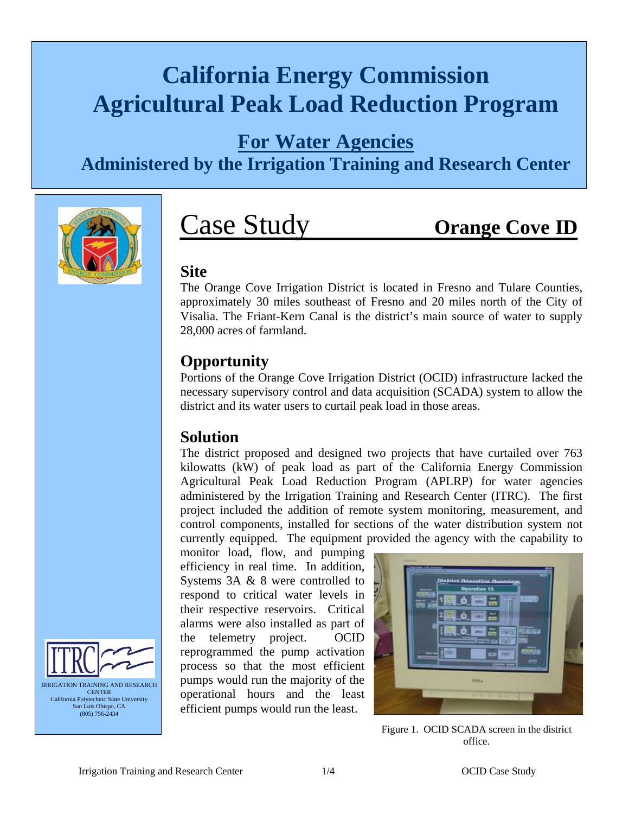## **California Energy Commission Agricultural Peak Load Reduction Program**

#### **For Water Agencies**

**Administered by the Irrigation Training and Research Center**



# Case Study **Orange Cove ID**

#### **Site**

The Orange Cove Irrigation District is located in Fresno and Tulare Counties, approximately 30 miles southeast of Fresno and 20 miles north of the City of Visalia. The Friant-Kern Canal is the district's main source of water to supply 28,000 acres of farmland.

#### **Opportunity**

Portions of the Orange Cove Irrigation District (OCID) infrastructure lacked the necessary supervisory control and data acquisition (SCADA) system to allow the district and its water users to curtail peak load in those areas.

#### **Solution**

The district proposed and designed two projects that have curtailed over 763 kilowatts (kW) of peak load as part of the California Energy Commission Agricultural Peak Load Reduction Program (APLRP) for water agencies administered by the Irrigation Training and Research Center (ITRC). The first project included the addition of remote system monitoring, measurement, and control components, installed for sections of the water distribution system not currently equipped. The equipment provided the agency with the capability to

monitor load, flow, and pumping efficiency in real time. In addition, Systems 3A & 8 were controlled to respond to critical water levels in their respective reservoirs. Critical alarms were also installed as part of the telemetry project. OCID reprogrammed the pump activation process so that the most efficient pumps would run the majority of the operational hours and the least efficient pumps would run the least.



Figure 1. OCID SCADA screen in the district office.



(805) 756-2434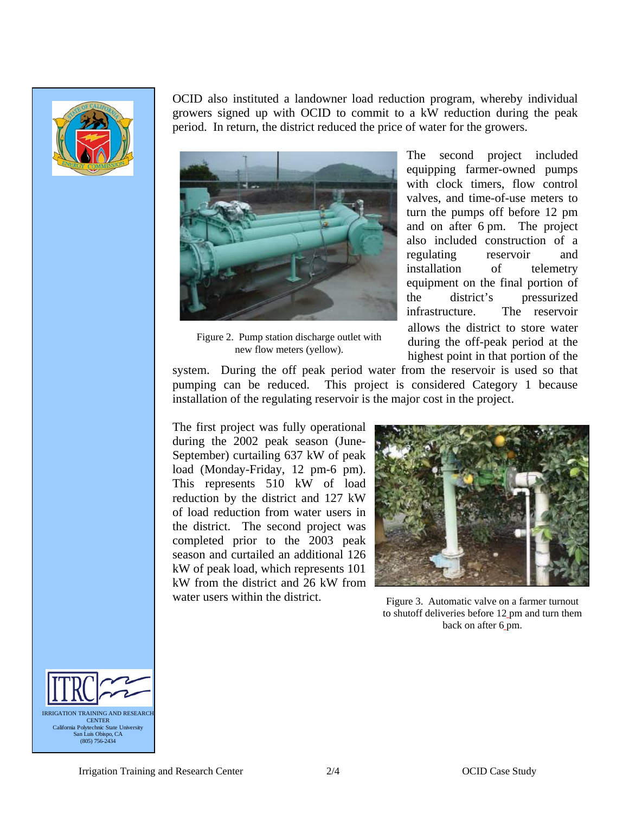

period. In return, the district reduced the price of water for the growers. OCID also instituted a landowner load reduction program, whereby individual growers signed up with OCID to commit to a kW reduction during the peak



Figure 2. Pump station discharge outlet with new flow meters (yellow).

The second project included equipping farmer-owned pumps with clock timers, flow control valves, and time-of-use meters to turn the pumps off before 12 pm and on after 6 pm. The project also included construction of a regulating reservoir and installation of telemetry equipment on the final portion of the district's pressurized infrastructure. The reservoir allows the district to store water during the off-peak period at the highest point in that portion of the

system. During the off peak period water from the reservoir is used so that pumping can be reduced. This project is considered Category 1 because installation of the regulating reservoir is the major cost in the project.

kW from the district and 26 kW from water users within the district. The first project was fully operational during the 2002 peak season (June-September) curtailing 637 kW of peak load (Monday-Friday, 12 pm-6 pm). This represents 510 kW of load reduction by the district and 127 kW of load reduction from water users in the district. The second project was completed prior to the 2003 peak season and curtailed an additional 126 kW of peak load, which represents 101



Figure 3. Automatic valve on a farmer turnout to shutoff deliveries before 12 pm and turn them back on after 6 pm.

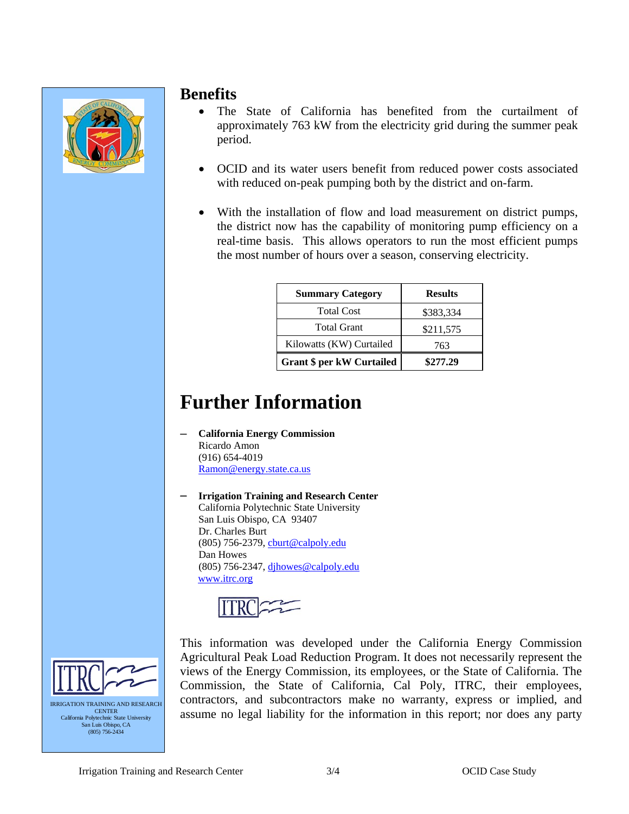

#### **Benefits**

- The State of California has benefited from the curtailment of approximately 763 kW from the electricity grid during the summer peak period.
- OCID and its water users benefit from reduced power costs associated • with reduced on-peak pumping both by the district and on-farm.
- the district now has the capability of monitoring pump efficiency on a real-time basis. This allows operators to run the most efficient pumps the most number of hours over a season, conserving electricity. • With the installation of flow and load measurement on district pumps,

| <b>Summary Category</b>          | <b>Results</b> |
|----------------------------------|----------------|
| <b>Total Cost</b>                | \$383,334      |
| <b>Total Grant</b>               | \$211,575      |
| Kilowatts (KW) Curtailed         | 763            |
| <b>Grant \$ per kW Curtailed</b> | \$277.29       |

### **Further Information**

- **California Energy Commission** − Ricardo Amon (916) 654-4019 Ramon@energy.state.ca.us
- **−** Irrigation Training and Research Center California Polytechnic State University San Luis Obispo, CA 93407 Dr. Charles Burt (805) 756-2379, [cburt@calpoly.edu](mailto:djhowes@calpoly.edu) Dan Howes (805) 756-2347, djhowes@calpoly.edu www.itrc.org





IRRIGATION TRAINING AND RESEARCH **CENTER** California Polytechnic State University<br>San Luis Obispo, CA (805) 756-2434

This information was developed under the California Energy Commission Agricultural Peak Load Reduction Program. It does not necessarily represent the views of the Energy Commission, its employees, or the State of California. The Commission, the State of California, Cal Poly, ITRC, their employees, contractors, and subcontractors make no warranty, express or implied, and assume no legal liability for the information in this report; nor does any party